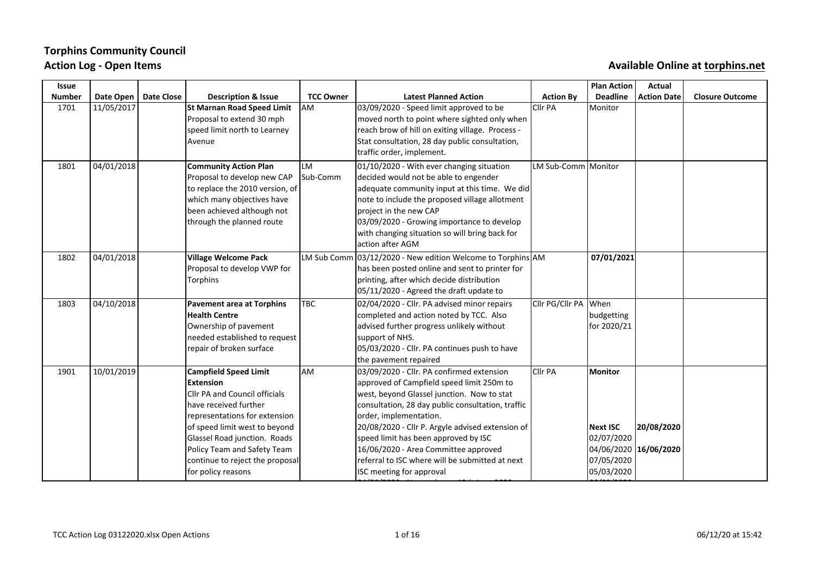# **Torphins Community Council** Action Log - Open Items **Automagnet Contains and Available Online** at torphins.net

| <b>Issue</b>  |            |                   |                                                                                                                                                                                                                                                                                                       |                  |                                                                                                                                                                                                                                                                                                                                                                                                                                        |                       | <b>Plan Action</b>                                                                            | Actual             |                        |
|---------------|------------|-------------------|-------------------------------------------------------------------------------------------------------------------------------------------------------------------------------------------------------------------------------------------------------------------------------------------------------|------------------|----------------------------------------------------------------------------------------------------------------------------------------------------------------------------------------------------------------------------------------------------------------------------------------------------------------------------------------------------------------------------------------------------------------------------------------|-----------------------|-----------------------------------------------------------------------------------------------|--------------------|------------------------|
| <b>Number</b> | Date Open  | <b>Date Close</b> | <b>Description &amp; Issue</b>                                                                                                                                                                                                                                                                        | <b>TCC Owner</b> | <b>Latest Planned Action</b>                                                                                                                                                                                                                                                                                                                                                                                                           | <b>Action By</b>      | <b>Deadline</b>                                                                               | <b>Action Date</b> | <b>Closure Outcome</b> |
| 1701          | 11/05/2017 |                   | St Marnan Road Speed Limit<br>Proposal to extend 30 mph<br>speed limit north to Learney<br>Avenue                                                                                                                                                                                                     | lam              | 03/09/2020 - Speed limit approved to be<br>moved north to point where sighted only when<br>reach brow of hill on exiting village. Process -<br>Stat consultation, 28 day public consultation,<br>traffic order, implement.                                                                                                                                                                                                             | CIIr PA               | Monitor                                                                                       |                    |                        |
| 1801          | 04/01/2018 |                   | <b>Community Action Plan</b><br>Proposal to develop new CAP<br>to replace the 2010 version, of<br>which many objectives have<br>been achieved although not<br>through the planned route                                                                                                               | llm<br>Sub-Comm  | 01/10/2020 - With ever changing situation<br>decided would not be able to engender<br>adequate community input at this time. We did<br>note to include the proposed village allotment<br>project in the new CAP<br>03/09/2020 - Growing importance to develop<br>with changing situation so will bring back for<br>action after AGM                                                                                                    | LM Sub-Comm   Monitor |                                                                                               |                    |                        |
| 1802          | 04/01/2018 |                   | Village Welcome Pack<br>Proposal to develop VWP for<br>Torphins                                                                                                                                                                                                                                       |                  | LM Sub Comm 03/12/2020 - New edition Welcome to Torphins AM<br>has been posted online and sent to printer for<br>printing, after which decide distribution<br>05/11/2020 - Agreed the draft update to                                                                                                                                                                                                                                  |                       | 07/01/2021                                                                                    |                    |                        |
| 1803          | 04/10/2018 |                   | <b>Pavement area at Torphins</b><br>Health Centre<br>Ownership of pavement<br>needed established to request<br>repair of broken surface                                                                                                                                                               | <b>TBC</b>       | 02/04/2020 - Cllr. PA advised minor repairs<br>completed and action noted by TCC. Also<br>advised further progress unlikely without<br>support of NHS.<br>05/03/2020 - Cllr. PA continues push to have<br>the pavement repaired                                                                                                                                                                                                        | Clir PG/Clir PA When  | budgetting<br>for 2020/21                                                                     |                    |                        |
| 1901          | 10/01/2019 |                   | <b>Campfield Speed Limit</b><br><b>Extension</b><br>Cllr PA and Council officials<br>lhave received further<br>representations for extension<br>of speed limit west to beyond<br>Glassel Road junction. Roads<br>Policy Team and Safety Team<br>continue to reject the proposal<br>for policy reasons | lam              | 03/09/2020 - Cllr. PA confirmed extension<br>approved of Campfield speed limit 250m to<br>west, beyond Glassel junction. Now to stat<br>consultation, 28 day public consultation, traffic<br>order, implementation.<br>20/08/2020 - Cllr P. Argyle advised extension of<br>speed limit has been approved by ISC<br>16/06/2020 - Area Committee approved<br>referral to ISC where will be submitted at next<br>ISC meeting for approval | <b>Cllr PA</b>        | Monitor<br><b>Next ISC</b><br>02/07/2020<br>04/06/2020 16/06/2020<br>07/05/2020<br>05/03/2020 | 20/08/2020         |                        |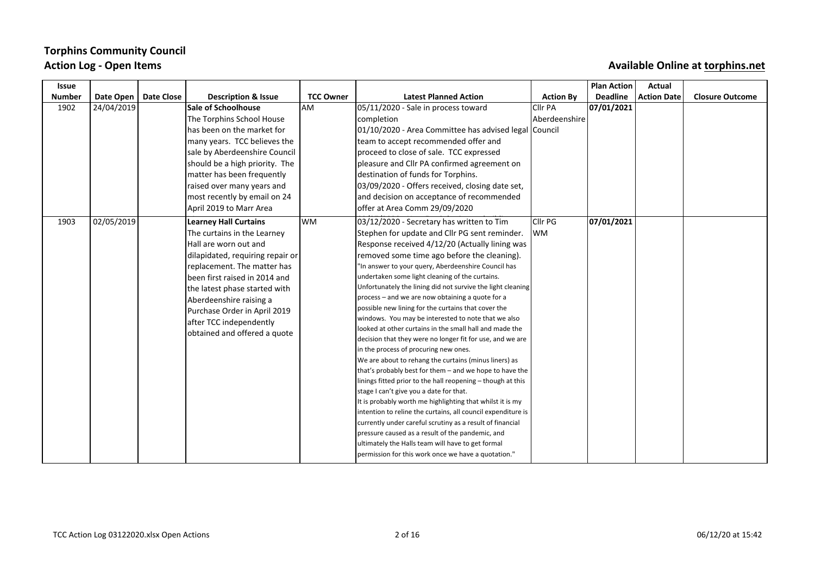## **Torphins Community Council** Action Log - Open Items **Auxiliable** Online at torphins.net

| Issue         |            |                   |                                                         |                  |                                                                                                                  |                  | <b>Plan Action</b> | Actual             |                        |
|---------------|------------|-------------------|---------------------------------------------------------|------------------|------------------------------------------------------------------------------------------------------------------|------------------|--------------------|--------------------|------------------------|
| <b>Number</b> | Date Open  | <b>Date Close</b> | <b>Description &amp; Issue</b>                          | <b>TCC Owner</b> | <b>Latest Planned Action</b>                                                                                     | <b>Action By</b> | <b>Deadline</b>    | <b>Action Date</b> | <b>Closure Outcome</b> |
| 1902          | 24/04/2019 |                   | <b>Sale of Schoolhouse</b>                              | lam              | 05/11/2020 - Sale in process toward                                                                              | <b>Clir PA</b>   | 07/01/2021         |                    |                        |
|               |            |                   | The Torphins School House                               |                  | completion                                                                                                       | Aberdeenshire    |                    |                    |                        |
|               |            |                   | has been on the market for                              |                  | 01/10/2020 - Area Committee has advised legal Council                                                            |                  |                    |                    |                        |
|               |            |                   | many years. TCC believes the                            |                  | team to accept recommended offer and                                                                             |                  |                    |                    |                        |
|               |            |                   | sale by Aberdeenshire Council                           |                  | proceed to close of sale. TCC expressed                                                                          |                  |                    |                    |                        |
|               |            |                   | should be a high priority. The                          |                  | pleasure and Cllr PA confirmed agreement on                                                                      |                  |                    |                    |                        |
|               |            |                   | matter has been frequently                              |                  | destination of funds for Torphins.                                                                               |                  |                    |                    |                        |
|               |            |                   | raised over many years and                              |                  | 03/09/2020 - Offers received, closing date set,                                                                  |                  |                    |                    |                        |
|               |            |                   | most recently by email on 24                            |                  | and decision on acceptance of recommended                                                                        |                  |                    |                    |                        |
|               |            |                   | April 2019 to Marr Area                                 |                  | offer at Area Comm 29/09/2020                                                                                    |                  |                    |                    |                        |
| 1903          | 02/05/2019 |                   | <b>Learney Hall Curtains</b>                            | lwm              | 03/12/2020 - Secretary has written to Tim                                                                        | Cllr PG          | 07/01/2021         |                    |                        |
|               |            |                   | The curtains in the Learney                             |                  | Stephen for update and Cllr PG sent reminder.                                                                    | lwm.             |                    |                    |                        |
|               |            |                   | Hall are worn out and                                   |                  | Response received 4/12/20 (Actually lining was                                                                   |                  |                    |                    |                        |
|               |            |                   | dilapidated, requiring repair or                        |                  | removed some time ago before the cleaning).                                                                      |                  |                    |                    |                        |
|               |            |                   | replacement. The matter has                             |                  | "In answer to your query, Aberdeenshire Council has                                                              |                  |                    |                    |                        |
|               |            |                   | been first raised in 2014 and                           |                  | undertaken some light cleaning of the curtains.                                                                  |                  |                    |                    |                        |
|               |            |                   | the latest phase started with                           |                  | Unfortunately the lining did not survive the light cleaning                                                      |                  |                    |                    |                        |
|               |            |                   | Aberdeenshire raising a                                 |                  | process - and we are now obtaining a quote for a                                                                 |                  |                    |                    |                        |
|               |            |                   | Purchase Order in April 2019                            |                  | possible new lining for the curtains that cover the                                                              |                  |                    |                    |                        |
|               |            |                   | after TCC independently<br>obtained and offered a quote |                  | windows. You may be interested to note that we also                                                              |                  |                    |                    |                        |
|               |            |                   |                                                         |                  | looked at other curtains in the small hall and made the                                                          |                  |                    |                    |                        |
|               |            |                   |                                                         |                  | decision that they were no longer fit for use, and we are                                                        |                  |                    |                    |                        |
|               |            |                   |                                                         |                  | in the process of procuring new ones.                                                                            |                  |                    |                    |                        |
|               |            |                   |                                                         |                  | We are about to rehang the curtains (minus liners) as<br>that's probably best for them - and we hope to have the |                  |                    |                    |                        |
|               |            |                   |                                                         |                  | linings fitted prior to the hall reopening - though at this                                                      |                  |                    |                    |                        |
|               |            |                   |                                                         |                  | stage I can't give you a date for that.                                                                          |                  |                    |                    |                        |
|               |            |                   |                                                         |                  | It is probably worth me highlighting that whilst it is my                                                        |                  |                    |                    |                        |
|               |            |                   |                                                         |                  | intention to reline the curtains, all council expenditure is                                                     |                  |                    |                    |                        |
|               |            |                   |                                                         |                  | currently under careful scrutiny as a result of financial                                                        |                  |                    |                    |                        |
|               |            |                   |                                                         |                  | pressure caused as a result of the pandemic, and                                                                 |                  |                    |                    |                        |
|               |            |                   |                                                         |                  | ultimately the Halls team will have to get formal                                                                |                  |                    |                    |                        |
|               |            |                   |                                                         |                  | permission for this work once we have a quotation."                                                              |                  |                    |                    |                        |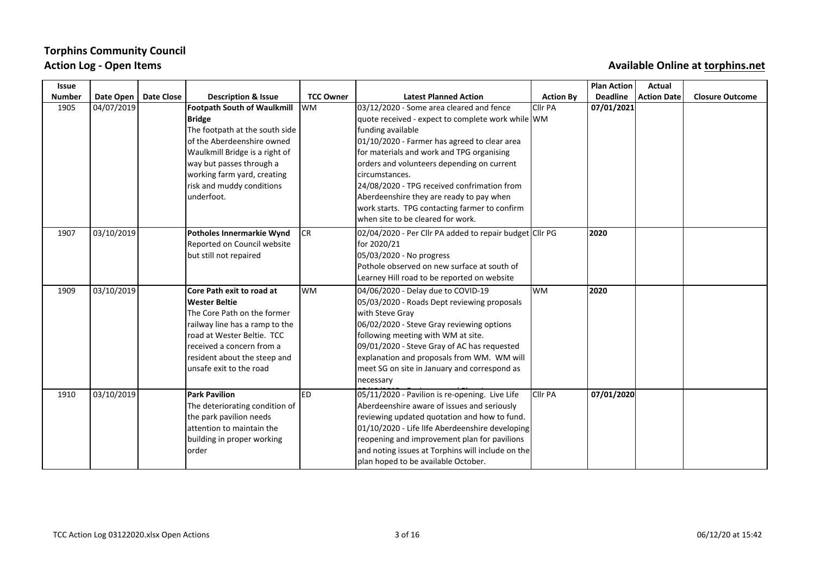# **Torphins Community Council**

### Action Log - Open Items **Auxiliable** Online at torphins.net

| <b>Issue</b>  |            |                   |                                |                  |                                                         |                  | <b>Plan Action</b> | <b>Actual</b>      |                        |
|---------------|------------|-------------------|--------------------------------|------------------|---------------------------------------------------------|------------------|--------------------|--------------------|------------------------|
| <b>Number</b> | Date Open  | <b>Date Close</b> | <b>Description &amp; Issue</b> | <b>TCC Owner</b> | <b>Latest Planned Action</b>                            | <b>Action By</b> | <b>Deadline</b>    | <b>Action Date</b> | <b>Closure Outcome</b> |
| 1905          | 04/07/2019 |                   | Footpath South of Waulkmill    | <b>WM</b>        | 03/12/2020 - Some area cleared and fence                | Cllr PA          | 07/01/2021         |                    |                        |
|               |            |                   | <b>Bridge</b>                  |                  | quote received - expect to complete work while WM       |                  |                    |                    |                        |
|               |            |                   | The footpath at the south side |                  | funding available                                       |                  |                    |                    |                        |
|               |            |                   | of the Aberdeenshire owned     |                  | 01/10/2020 - Farmer has agreed to clear area            |                  |                    |                    |                        |
|               |            |                   | Waulkmill Bridge is a right of |                  | for materials and work and TPG organising               |                  |                    |                    |                        |
|               |            |                   | way but passes through a       |                  | orders and volunteers depending on current              |                  |                    |                    |                        |
|               |            |                   | working farm yard, creating    |                  | circumstances.                                          |                  |                    |                    |                        |
|               |            |                   | risk and muddy conditions      |                  | 24/08/2020 - TPG received confrimation from             |                  |                    |                    |                        |
|               |            |                   | underfoot.                     |                  | Aberdeenshire they are ready to pay when                |                  |                    |                    |                        |
|               |            |                   |                                |                  | work starts. TPG contacting farmer to confirm           |                  |                    |                    |                        |
|               |            |                   |                                |                  | when site to be cleared for work.                       |                  |                    |                    |                        |
| 1907          | 03/10/2019 |                   | Potholes Innermarkie Wynd      | CR               | 02/04/2020 - Per Cllr PA added to repair budget Cllr PG |                  | 2020               |                    |                        |
|               |            |                   | Reported on Council website    |                  | for 2020/21                                             |                  |                    |                    |                        |
|               |            |                   | but still not repaired         |                  | 05/03/2020 - No progress                                |                  |                    |                    |                        |
|               |            |                   |                                |                  | Pothole observed on new surface at south of             |                  |                    |                    |                        |
|               |            |                   |                                |                  | Learney Hill road to be reported on website             |                  |                    |                    |                        |
| 1909          | 03/10/2019 |                   | Core Path exit to road at      | lwm              | 04/06/2020 - Delay due to COVID-19                      | lwm              | 2020               |                    |                        |
|               |            |                   | <b>Wester Beltie</b>           |                  | 05/03/2020 - Roads Dept reviewing proposals             |                  |                    |                    |                        |
|               |            |                   | The Core Path on the former    |                  | with Steve Gray                                         |                  |                    |                    |                        |
|               |            |                   | railway line has a ramp to the |                  | 06/02/2020 - Steve Gray reviewing options               |                  |                    |                    |                        |
|               |            |                   | road at Wester Beltie. TCC     |                  | following meeting with WM at site.                      |                  |                    |                    |                        |
|               |            |                   | received a concern from a      |                  | 09/01/2020 - Steve Gray of AC has requested             |                  |                    |                    |                        |
|               |            |                   | resident about the steep and   |                  | explanation and proposals from WM. WM will              |                  |                    |                    |                        |
|               |            |                   | unsafe exit to the road        |                  | meet SG on site in January and correspond as            |                  |                    |                    |                        |
|               |            |                   |                                |                  | necessary                                               |                  |                    |                    |                        |
| 1910          | 03/10/2019 |                   | <b>Park Pavilion</b>           | <b>ED</b>        | 05/11/2020 - Pavilion is re-opening. Live Life          | Cllr PA          | 07/01/2020         |                    |                        |
|               |            |                   | The deteriorating condition of |                  | Aberdeenshire aware of issues and seriously             |                  |                    |                    |                        |
|               |            |                   | the park pavilion needs        |                  | reviewing updated quotation and how to fund.            |                  |                    |                    |                        |
|               |            |                   | attention to maintain the      |                  | $\vert$ 01/10/2020 - Life llfe Aberdeenshire developing |                  |                    |                    |                        |
|               |            |                   | building in proper working     |                  | reopening and improvement plan for pavilions            |                  |                    |                    |                        |
|               |            |                   | lorder                         |                  | and noting issues at Torphins will include on the       |                  |                    |                    |                        |
|               |            |                   |                                |                  | plan hoped to be available October.                     |                  |                    |                    |                        |

07/05/2020 - Discovering the Company of Live of Live Aberdeen plans of Live Aberdeen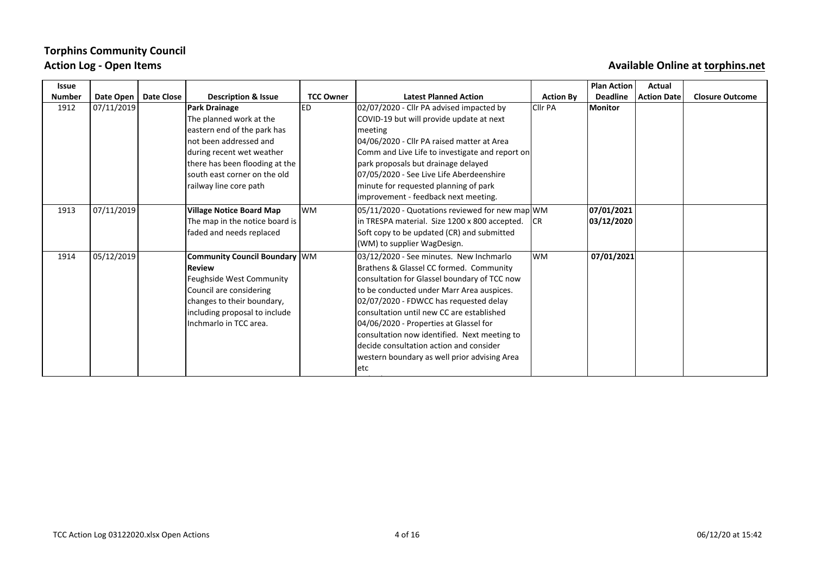## **Torphins Community Council** Action Log - Open Items **Auxiliable** Online at torphins.net

| <b>Issue</b>  |            |            |                                 |                  |                                                 |                  | <b>Plan Action</b> | Actual             |                        |
|---------------|------------|------------|---------------------------------|------------------|-------------------------------------------------|------------------|--------------------|--------------------|------------------------|
| <b>Number</b> | Date Open  | Date Close | <b>Description &amp; Issue</b>  | <b>TCC Owner</b> | <b>Latest Planned Action</b>                    | <b>Action By</b> | <b>Deadline</b>    | <b>Action Date</b> | <b>Closure Outcome</b> |
| 1912          | 07/11/2019 |            | <b>Park Drainage</b>            | ED               | 02/07/2020 - Cllr PA advised impacted by        | Clir PA          | <b>Monitor</b>     |                    |                        |
|               |            |            | The planned work at the         |                  | COVID-19 but will provide update at next        |                  |                    |                    |                        |
|               |            |            | eastern end of the park has     |                  | meeting                                         |                  |                    |                    |                        |
|               |            |            | not been addressed and          |                  | 04/06/2020 - Cllr PA raised matter at Area      |                  |                    |                    |                        |
|               |            |            | during recent wet weather       |                  | Comm and Live Life to investigate and report on |                  |                    |                    |                        |
|               |            |            | there has been flooding at the  |                  | park proposals but drainage delayed             |                  |                    |                    |                        |
|               |            |            | south east corner on the old    |                  | 07/05/2020 - See Live Life Aberdeenshire        |                  |                    |                    |                        |
|               |            |            | railway line core path          |                  | minute for requested planning of park           |                  |                    |                    |                        |
|               |            |            |                                 |                  | improvement - feedback next meeting.            |                  |                    |                    |                        |
| 1913          | 07/11/2019 |            | <b>Village Notice Board Map</b> | lwm              | 05/11/2020 - Quotations reviewed for new map WM |                  | 07/01/2021         |                    |                        |
|               |            |            | The map in the notice board is  |                  | in TRESPA material. Size 1200 x 800 accepted.   | lcr              | 03/12/2020         |                    |                        |
|               |            |            | faded and needs replaced        |                  | Soft copy to be updated (CR) and submitted      |                  |                    |                    |                        |
|               |            |            |                                 |                  | (WM) to supplier WagDesign.                     |                  |                    |                    |                        |
| 1914          | 05/12/2019 |            | Community Council Boundary WM   |                  | 03/12/2020 - See minutes. New Inchmarlo         | lwm              | 07/01/2021         |                    |                        |
|               |            |            | <b>Review</b>                   |                  | Brathens & Glassel CC formed. Community         |                  |                    |                    |                        |
|               |            |            | Feughside West Community        |                  | consultation for Glassel boundary of TCC now    |                  |                    |                    |                        |
|               |            |            | Council are considering         |                  | to be conducted under Marr Area auspices.       |                  |                    |                    |                        |
|               |            |            | changes to their boundary,      |                  | 02/07/2020 - FDWCC has requested delay          |                  |                    |                    |                        |
|               |            |            | including proposal to include   |                  | consultation until new CC are established       |                  |                    |                    |                        |
|               |            |            | Inchmarlo in TCC area.          |                  | 04/06/2020 - Properties at Glassel for          |                  |                    |                    |                        |
|               |            |            |                                 |                  | consultation now identified. Next meeting to    |                  |                    |                    |                        |
|               |            |            |                                 |                  | decide consultation action and consider         |                  |                    |                    |                        |
|               |            |            |                                 |                  | western boundary as well prior advising Area    |                  |                    |                    |                        |
|               |            |            |                                 |                  | letc                                            |                  |                    |                    |                        |
|               |            |            |                                 |                  |                                                 |                  |                    |                    |                        |